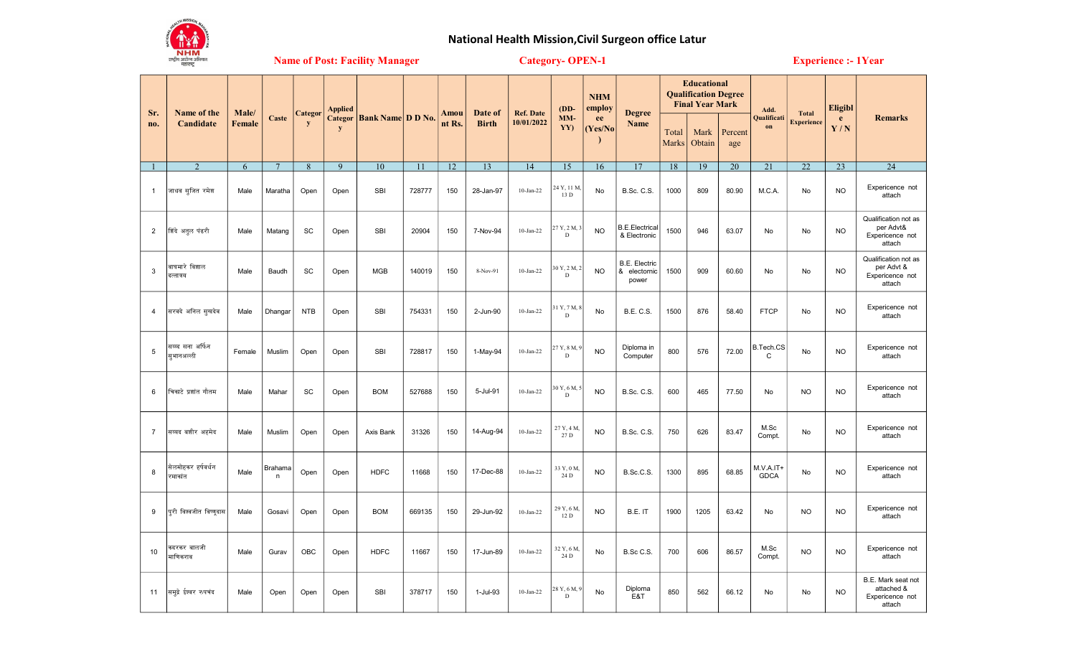

## National Health Mission,Civil Surgeon office Latur

Name of Post: Facility Manager Category- OPEN-1 Experience :- 1Year

|                | Name of the<br>Candidate       |                        |                 |              | <b>Applied</b> |                                      |        | Amou<br>nt Rs. | Date of<br><b>Birth</b> | <b>Ref. Date</b><br>10/01/2022 | $(DD-$<br>$MM-$<br>YY)      | <b>NHM</b><br>employ<br>ee<br>(Yes/No) | <b>Degree</b>                          | <b>Educational</b><br><b>Qualification Degree</b><br><b>Final Year Mark</b> |                |                | Add.                       |                                   | <b>Eligibl</b> |                                                                 |
|----------------|--------------------------------|------------------------|-----------------|--------------|----------------|--------------------------------------|--------|----------------|-------------------------|--------------------------------|-----------------------------|----------------------------------------|----------------------------------------|-----------------------------------------------------------------------------|----------------|----------------|----------------------------|-----------------------------------|----------------|-----------------------------------------------------------------|
| Sr.<br>no.     |                                | Male/<br><b>Female</b> | Caste           | Categor<br>V | y              | <b>Categor   Bank Name   D D No.</b> |        |                |                         |                                |                             |                                        | Name                                   | Total<br><b>Marks</b>                                                       | Mark<br>Obtain | Percent<br>age | Qualificati<br>on          | <b>Total</b><br><b>Experience</b> | e<br>Y/N       | <b>Remarks</b>                                                  |
|                | 2                              | 6                      | $7\phantom{.0}$ | 8            | 9              | 10                                   | 11     | 12             | 13                      | 14                             | 15                          | 16                                     | 17                                     | 18                                                                          | 19             | 20             | 21                         | 22                                | 23             | 24                                                              |
| 1              | जाधव सूजित रमेश                | Male                   | Maratha         | Open         | Open           | SBI                                  | 728777 | 150            | 28-Jan-97               | $10$ -Jan-22                   | 24 Y, 11 M,<br>13 D         | No                                     | <b>B.Sc. C.S.</b>                      | 1000                                                                        | 809            | 80.90          | M.C.A.                     | No                                | <b>NO</b>      | Expericence not<br>attach                                       |
| $\mathbf{2}$   | शिंदे अतुल पंढरी               | Male                   | Matang          | SC           | Open           | <b>SBI</b>                           | 20904  | 150            | 7-Nov-94                | $10-Jan-22$                    | 27 Y, 2 M, 3<br>D           | <b>NO</b>                              | <b>B.E.Electrical</b><br>& Electronic  | 1500                                                                        | 946            | 63.07          | No                         | No                                | <b>NO</b>      | Qualification not as<br>per Advt&<br>Expericence not<br>attach  |
| 3              | वाघमारे विशाल<br>दत्तात्रय     | Male                   | Baudh           | SC           | Open           | <b>MGB</b>                           | 140019 | 150            | 8-Nov-91                | $10$ -Jan-22                   | 30 Y, 2 M, 2<br>$\mathbf D$ | <b>NO</b>                              | B.E. Electric<br>& electornic<br>power | 1500                                                                        | 909            | 60.60          | <b>No</b>                  | No                                | <b>NO</b>      | Qualification not as<br>per Advt &<br>Expericence not<br>attach |
| 4              | सरवदे अनिल सूखदेव              | Male                   | Dhangar         | <b>NTB</b>   | Open           | SBI                                  | 754331 | 150            | 2-Jun-90                | $10-Jan-22$                    | 31 Y, 7 M, 8<br>D           | No                                     | <b>B.E. C.S.</b>                       | 1500                                                                        | 876            | 58.40          | <b>FTCP</b>                | No                                | <b>NO</b>      | Expericence not<br>attach                                       |
| 5              | सय्य्द सना अर्फिन<br>सभानअल्ली | Female                 | Muslim          | Open         | Open           | <b>SBI</b>                           | 728817 | 150            | 1-May-94                | $10-Jan-22$                    | 27 Y, 8 M, 9<br>D           | <b>NO</b>                              | Diploma in<br>Computer                 | 800                                                                         | 576            | 72.00          | B.Tech.CS<br>$\mathsf{C}$  | No                                | <b>NO</b>      | Expericence not<br>attach                                       |
| 6              | चिकाटे प्रशांत गौतम            | Male                   | Mahar           | SC           | Open           | <b>BOM</b>                           | 527688 | 150            | 5-Jul-91                | $10$ -Jan-22                   | 30 Y, 6 M, 5<br>D           | <b>NO</b>                              | <b>B.Sc. C.S.</b>                      | 600                                                                         | 465            | 77.50          | No                         | <b>NO</b>                         | <b>NO</b>      | Expericence not<br>attach                                       |
| $\overline{7}$ | सय्यद बशीर अहमेद               | Male                   | Muslim          | Open         | Open           | Axis Bank                            | 31326  | 150            | 14-Aug-94               | $10$ -Jan-22                   | 27 Y, 4 M,<br>27 D          | <b>NO</b>                              | <b>B.Sc. C.S.</b>                      | 750                                                                         | 626            | 83.47          | M.Sc<br>Compt.             | No                                | <b>NO</b>      | Expericence not<br>attach                                       |
| 8              | सेलमोहकर हर्षवर्धन<br>रमाकांत  | Male                   | Brahama<br>n    | Open         | Open           | <b>HDFC</b>                          | 11668  | 150            | 17-Dec-88               | $10$ -Jan-22                   | 33 Y, 0 M,<br>24 D          | <b>NO</b>                              | B.Sc.C.S.                              | 1300                                                                        | 895            | 68.85          | $M.V.A.IT+$<br><b>GDCA</b> | No                                | <b>NO</b>      | Expericence not<br>attach                                       |
| 9              | परी विश्वजीत विष्णुदास         | Male                   | Gosavi          | Open         | Open           | <b>BOM</b>                           | 669135 | 150            | 29-Jun-92               | $10$ -Jan-22                   | 29 Y, 6 M,<br>12 D          | <b>NO</b>                              | B.E. IT                                | 1900                                                                        | 1205           | 63.42          | No                         | <b>NO</b>                         | <b>NO</b>      | Expericence not<br>attach                                       |
| 10             | कदरकर बालजी<br>माणिकराव        | Male                   | Gurav           | OBC          | Open           | <b>HDFC</b>                          | 11667  | 150            | 17-Jun-89               | $10-Jan-22$                    | 32 Y, 6 M,<br>24 D          | No                                     | B.Sc C.S.                              | 700                                                                         | 606            | 86.57          | M.Sc<br>Compt.             | <b>NO</b>                         | <b>NO</b>      | Expericence not<br>attach                                       |
| 11             | समुद्रे ईश्वर रुपचंद           | Male                   | Open            | Open         | Open           | <b>SBI</b>                           | 378717 | 150            | 1-Jul-93                | $10-Ian-22$                    | 28 Y, 6 M, 9<br>D           | No                                     | Diploma<br>E&T                         | 850                                                                         | 562            | 66.12          | <b>No</b>                  | <b>No</b>                         | <b>NO</b>      | B.E. Mark seat not<br>attached &<br>Expericence not<br>attach   |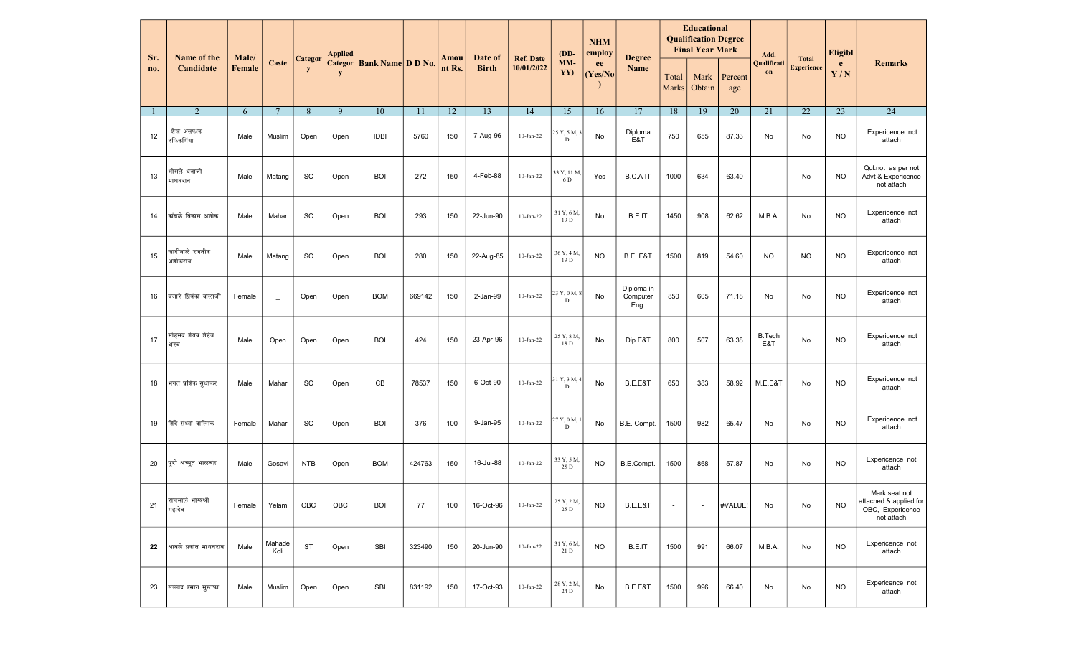| Sr. | Name of the<br>Candidate    | Male/  |                |            | <b>Applied</b> |                                  |        |                | Date of<br><b>Birth</b> | <b>Ref. Date</b> | $(DD-$                      | <b>NHM</b><br>employ | <b>Degree</b><br>Name          |                       | <b>Educational</b><br><b>Qualification Degree</b><br><b>Final Year Mark</b> |                | Add.                 | <b>Total</b>      | <b>Eligibl</b> | <b>Remarks</b>                                                            |
|-----|-----------------------------|--------|----------------|------------|----------------|----------------------------------|--------|----------------|-------------------------|------------------|-----------------------------|----------------------|--------------------------------|-----------------------|-----------------------------------------------------------------------------|----------------|----------------------|-------------------|----------------|---------------------------------------------------------------------------|
| no. |                             | Female | Caste          | Categor    | y              | <b>Categor</b> Bank Name D D No. |        | Amou<br>nt Rs. |                         | 10/01/2022       | $MM-$<br>YY)                | ee<br>(Yes/No)       |                                | Total<br><b>Marks</b> | Mark<br>Obtain                                                              | Percent<br>age | Qualificati<br>on    | <b>Experience</b> | e<br>Y/N       |                                                                           |
|     | 2                           | 6      | $\overline{7}$ | 8          | 9              | 10                               | 11     | 12             | 13                      | 14               | 15                          | 16                   | 17                             | 18                    | 19                                                                          | 20             | 21                   | 22                | 23             | $\overline{24}$                                                           |
| 12  | शेख असफाक<br>रफिकमिंया      | Male   | Muslim         | Open       | Open           | <b>IDBI</b>                      | 5760   | 150            | 7-Aug-96                | $10$ -Jan-22     | 25 Y, 5 M, 3<br>$\mathbf D$ | No                   | Diploma<br>E&T                 | 750                   | 655                                                                         | 87.33          | No                   | No                | <b>NO</b>      | Expericence not<br>attach                                                 |
| 13  | भोसले धनाजी<br>माधवराव      | Male   | Matang         | SC         | Open           | <b>BOI</b>                       | 272    | 150            | 4-Feb-88                | $10$ -Jan-22     | 33 Y, 11 M.<br>6 D          | Yes                  | <b>B.C.AIT</b>                 | 1000                  | 634                                                                         | 63.40          |                      | No                | <b>NO</b>      | Qul.not as per not<br>Advt & Expericence<br>not attach                    |
| 14  | कांबळे विकास अशोक           | Male   | Mahar          | SC         | Open           | <b>BOI</b>                       | 293    | 150            | 22-Jun-90               | $10$ -Jan-22     | 31 Y, 6 M,<br>19 D          | No                   | B.E.IT                         | 1450                  | 908                                                                         | 62.62          | M.B.A.               | No                | <b>NO</b>      | Expericence not<br>attach                                                 |
| 15  | खादीवाले रजनीश<br>अशोकराव   | Male   | Matang         | SC         | Open           | <b>BOI</b>                       | 280    | 150            | 22-Aug-85               | $10$ -Jan-22     | 36 Y, 4 M<br>19 D           | <b>NO</b>            | <b>B.E. E&amp;T</b>            | 1500                  | 819                                                                         | 54.60          | <b>NO</b>            | <b>NO</b>         | <b>NO</b>      | Expericence not<br>attach                                                 |
| 16  | बंजारे प्रियंका बालाजी      | Female | $\equiv$       | Open       | Open           | <b>BOM</b>                       | 669142 | 150            | 2-Jan-99                | $10-Ian-22$      | 23 Y, 0 M, 8<br>$\mathbf D$ | No                   | Diploma in<br>Computer<br>Eng. | 850                   | 605                                                                         | 71.18          | No                   | No                | <b>NO</b>      | Expericence not<br>attach                                                 |
| 17  | मोहमद शेयब शेहेब<br>अरब     | Male   | Open           | Open       | Open           | <b>BOI</b>                       | 424    | 150            | 23-Apr-96               | $10-Jan-22$      | 25 Y, 8 M,<br>18 D          | No                   | Dip.E&T                        | 800                   | 507                                                                         | 63.38          | <b>B.Tech</b><br>E&T | No                | <b>NO</b>      | Expericence not<br>attach                                                 |
| 18  | भगत प्रशिक सुधाकर           | Male   | Mahar          | SC         | Open           | CB                               | 78537  | 150            | 6-Oct-90                | $10$ -Jan-22     | 31 Y, 3 M, 4<br>D           | No                   | B.E.E&T                        | 650                   | 383                                                                         | 58.92          | M.E.E&T              | No                | <b>NO</b>      | Expericence not<br>attach                                                 |
| 19  | शिंदे संध्या वाल्मिक        | Female | Mahar          | SC         | Open           | <b>BOI</b>                       | 376    | 100            | 9-Jan-95                | $10$ -Jan-22     | 27 Y, 0 M,<br>D             | No                   | B.E. Compt.                    | 1500                  | 982                                                                         | 65.47          | No                   | No                | <b>NO</b>      | Expericence not<br>attach                                                 |
| 20  | पुरी अच्युत भालचंद्र        | Male   | Gosavi         | <b>NTB</b> | Open           | <b>BOM</b>                       | 424763 | 150            | 16-Jul-88               | $10$ -Jan-22     | 33 Y, 5 M<br>25 D           | <b>NO</b>            | B.E.Compt.                     | 1500                  | 868                                                                         | 57.87          | No                   | No                | <b>NO</b>      | Expericence not<br>attach                                                 |
| 21  | राचमाले भाग्यश्री<br>महादेव | Female | Yelam          | OBC        | OBC            | <b>BOI</b>                       | 77     | 100            | 16-Oct-96               | $10$ -Jan-22     | 25 Y, 2 M,<br>25 D          | <b>NO</b>            | B.E.E&T                        | $\sim$                | $\sim$                                                                      | #VALUE!        | No                   | No                | NO.            | Mark seat not<br>attached & applied for<br>OBC, Expericence<br>not attach |
| 22  | आवले प्रशांत माधवराव        | Male   | Mahade<br>Koli | ST         | Open           | <b>SBI</b>                       | 323490 | 150            | 20-Jun-90               | $10-Jan-22$      | 31 Y, 6 M,<br>21 D          | <b>NO</b>            | B.E.IT                         | 1500                  | 991                                                                         | 66.07          | M.B.A.               | No                | <b>NO</b>      | Expericence not<br>attach                                                 |
| 23  | सय्य्यद इम्रान मुस्तफा      | Male   | Muslim         | Open       | Open           | <b>SBI</b>                       | 831192 | 150            | 17-Oct-93               | $10-Jan-22$      | 28 Y, 2 M,<br>24 D          | No                   | B.E.E&T                        | 1500                  | 996                                                                         | 66.40          | No                   | No                | <b>NO</b>      | Expericence not<br>attach                                                 |